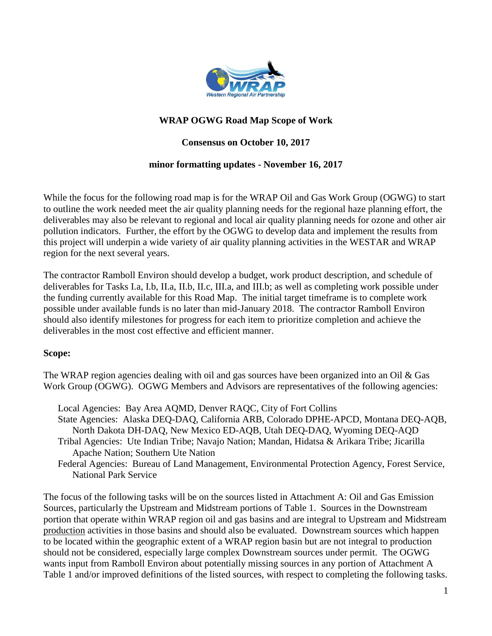

## **WRAP OGWG Road Map Scope of Work**

## **Consensus on October 10, 2017**

#### **minor formatting updates - November 16, 2017**

While the focus for the following road map is for the WRAP Oil and Gas Work Group (OGWG) to start to outline the work needed meet the air quality planning needs for the regional haze planning effort, the deliverables may also be relevant to regional and local air quality planning needs for ozone and other air pollution indicators. Further, the effort by the OGWG to develop data and implement the results from this project will underpin a wide variety of air quality planning activities in the WESTAR and WRAP region for the next several years.

The contractor Ramboll Environ should develop a budget, work product description, and schedule of deliverables for Tasks I.a, I.b, II.a, II.b, II.c, III.a, and III.b; as well as completing work possible under the funding currently available for this Road Map. The initial target timeframe is to complete work possible under available funds is no later than mid-January 2018. The contractor Ramboll Environ should also identify milestones for progress for each item to prioritize completion and achieve the deliverables in the most cost effective and efficient manner.

## **Scope:**

The WRAP region agencies dealing with oil and gas sources have been organized into an Oil & Gas Work Group (OGWG). OGWG Members and Advisors are representatives of the following agencies:

- Local Agencies: Bay Area AQMD, Denver RAQC, City of Fort Collins State Agencies: Alaska DEQ-DAQ, California ARB, Colorado DPHE-APCD, Montana DEQ-AQB, North Dakota DH-DAQ, New Mexico ED-AQB, Utah DEQ-DAQ, Wyoming DEQ-AQD Tribal Agencies: Ute Indian Tribe; Navajo Nation; Mandan, Hidatsa & Arikara Tribe; Jicarilla Apache Nation; Southern Ute Nation
- Federal Agencies: Bureau of Land Management, Environmental Protection Agency, Forest Service, National Park Service

The focus of the following tasks will be on the sources listed in Attachment A: Oil and Gas Emission Sources, particularly the Upstream and Midstream portions of Table 1. Sources in the Downstream portion that operate within WRAP region oil and gas basins and are integral to Upstream and Midstream production activities in those basins and should also be evaluated. Downstream sources which happen to be located within the geographic extent of a WRAP region basin but are not integral to production should not be considered, especially large complex Downstream sources under permit. The OGWG wants input from Ramboll Environ about potentially missing sources in any portion of Attachment A Table 1 and/or improved definitions of the listed sources, with respect to completing the following tasks.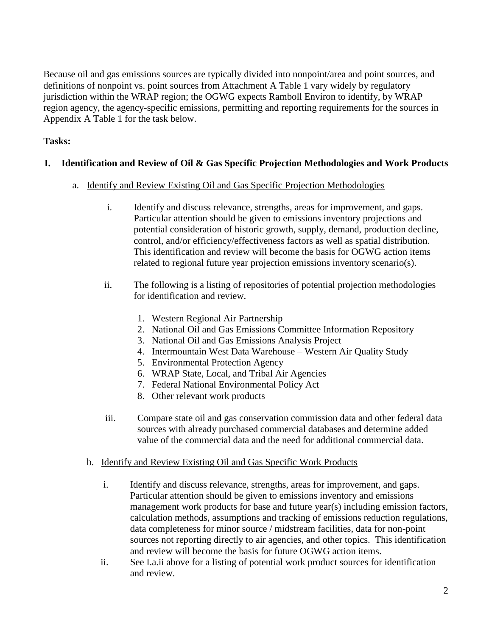Because oil and gas emissions sources are typically divided into nonpoint/area and point sources, and definitions of nonpoint vs. point sources from Attachment A Table 1 vary widely by regulatory jurisdiction within the WRAP region; the OGWG expects Ramboll Environ to identify, by WRAP region agency, the agency-specific emissions, permitting and reporting requirements for the sources in Appendix A Table 1 for the task below.

# **Tasks:**

## **I. Identification and Review of Oil & Gas Specific Projection Methodologies and Work Products**

- a. Identify and Review Existing Oil and Gas Specific Projection Methodologies
	- i. Identify and discuss relevance, strengths, areas for improvement, and gaps. Particular attention should be given to emissions inventory projections and potential consideration of historic growth, supply, demand, production decline, control, and/or efficiency/effectiveness factors as well as spatial distribution. This identification and review will become the basis for OGWG action items related to regional future year projection emissions inventory scenario(s).
	- ii. The following is a listing of repositories of potential projection methodologies for identification and review.
		- 1. Western Regional Air Partnership
		- 2. National Oil and Gas Emissions Committee Information Repository
		- 3. National Oil and Gas Emissions Analysis Project
		- 4. Intermountain West Data Warehouse Western Air Quality Study
		- 5. Environmental Protection Agency
		- 6. WRAP State, Local, and Tribal Air Agencies
		- 7. Federal National Environmental Policy Act
		- 8. Other relevant work products
	- iii. Compare state oil and gas conservation commission data and other federal data sources with already purchased commercial databases and determine added value of the commercial data and the need for additional commercial data.
	- b. Identify and Review Existing Oil and Gas Specific Work Products
		- i. Identify and discuss relevance, strengths, areas for improvement, and gaps. Particular attention should be given to emissions inventory and emissions management work products for base and future year(s) including emission factors, calculation methods, assumptions and tracking of emissions reduction regulations, data completeness for minor source / midstream facilities, data for non-point sources not reporting directly to air agencies, and other topics. This identification and review will become the basis for future OGWG action items.
		- ii. See I.a.ii above for a listing of potential work product sources for identification and review.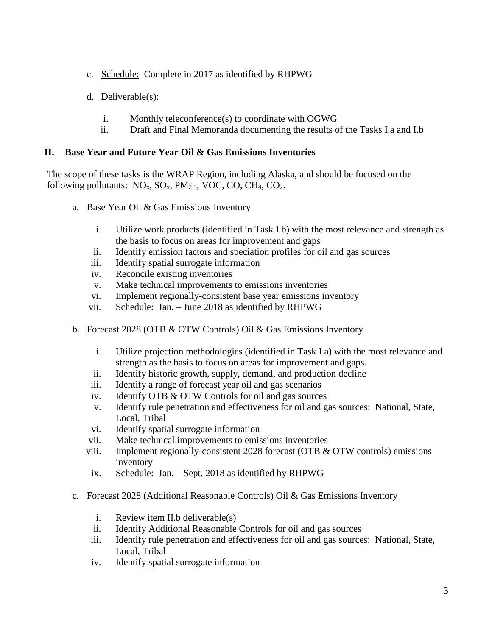- c. Schedule: Complete in 2017 as identified by RHPWG
- d. Deliverable(s):
	- i. Monthly teleconference(s) to coordinate with OGWG
	- ii. Draft and Final Memoranda documenting the results of the Tasks I.a and I.b

#### **II. Base Year and Future Year Oil & Gas Emissions Inventories**

The scope of these tasks is the WRAP Region, including Alaska, and should be focused on the following pollutants:  $NO<sub>x</sub>$ ,  $SO<sub>x</sub>$ ,  $PM<sub>2.5</sub>$ , VOC, CO, CH<sub>4</sub>, CO<sub>2</sub>.

- a. Base Year Oil & Gas Emissions Inventory
	- i. Utilize work products (identified in Task I.b) with the most relevance and strength as the basis to focus on areas for improvement and gaps
	- ii. Identify emission factors and speciation profiles for oil and gas sources
	- iii. Identify spatial surrogate information
	- iv. Reconcile existing inventories
	- v. Make technical improvements to emissions inventories
	- vi. Implement regionally-consistent base year emissions inventory
	- vii. Schedule: Jan. June 2018 as identified by RHPWG
- b. Forecast 2028 (OTB & OTW Controls) Oil & Gas Emissions Inventory
	- i. Utilize projection methodologies (identified in Task I.a) with the most relevance and strength as the basis to focus on areas for improvement and gaps.
	- ii. Identify historic growth, supply, demand, and production decline
	- iii. Identify a range of forecast year oil and gas scenarios
	- iv. Identify OTB & OTW Controls for oil and gas sources
	- v. Identify rule penetration and effectiveness for oil and gas sources: National, State, Local, Tribal
	- vi. Identify spatial surrogate information
	- vii. Make technical improvements to emissions inventories
	- viii. Implement regionally-consistent 2028 forecast (OTB  $&$  OTW controls) emissions inventory
	- ix. Schedule: Jan. Sept. 2018 as identified by RHPWG
- c. Forecast 2028 (Additional Reasonable Controls) Oil & Gas Emissions Inventory
	- i. Review item II.b deliverable(s)
	- ii. Identify Additional Reasonable Controls for oil and gas sources
	- iii. Identify rule penetration and effectiveness for oil and gas sources: National, State, Local, Tribal
	- iv. Identify spatial surrogate information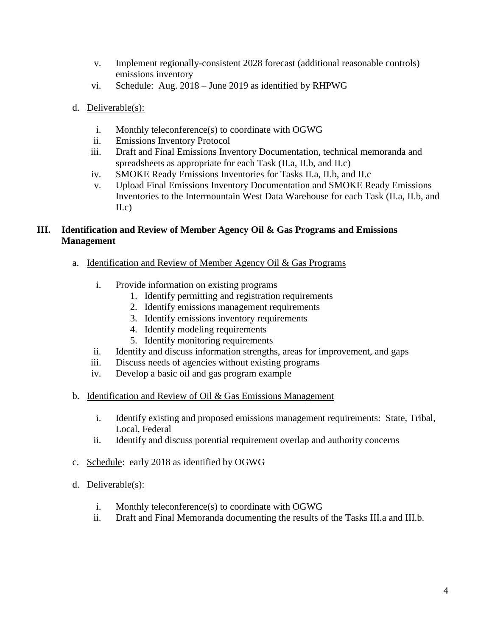- v. Implement regionally-consistent 2028 forecast (additional reasonable controls) emissions inventory
- vi. Schedule: Aug. 2018 June 2019 as identified by RHPWG
- d. Deliverable(s):
	- i. Monthly teleconference(s) to coordinate with OGWG
	- ii. Emissions Inventory Protocol
	- iii. Draft and Final Emissions Inventory Documentation, technical memoranda and spreadsheets as appropriate for each Task (II.a, II.b, and II.c)
	- iv. SMOKE Ready Emissions Inventories for Tasks II.a, II.b, and II.c
	- v. Upload Final Emissions Inventory Documentation and SMOKE Ready Emissions Inventories to the Intermountain West Data Warehouse for each Task (II.a, II.b, and II.c)

## **III. Identification and Review of Member Agency Oil & Gas Programs and Emissions Management**

- a. Identification and Review of Member Agency Oil & Gas Programs
	- i. Provide information on existing programs
		- 1. Identify permitting and registration requirements
		- 2. Identify emissions management requirements
		- 3. Identify emissions inventory requirements
		- 4. Identify modeling requirements
		- 5. Identify monitoring requirements
	- ii. Identify and discuss information strengths, areas for improvement, and gaps
	- iii. Discuss needs of agencies without existing programs
	- iv. Develop a basic oil and gas program example
- b. Identification and Review of Oil  $& Gas$  Emissions Management
	- i. Identify existing and proposed emissions management requirements: State, Tribal, Local, Federal
	- ii. Identify and discuss potential requirement overlap and authority concerns
- c. Schedule: early 2018 as identified by OGWG
- d. Deliverable(s):
	- i. Monthly teleconference(s) to coordinate with OGWG
	- ii. Draft and Final Memoranda documenting the results of the Tasks III.a and III.b.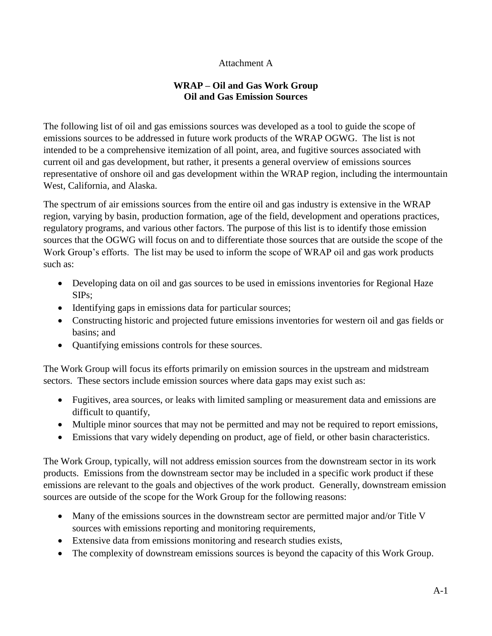## Attachment A

## **WRAP – Oil and Gas Work Group Oil and Gas Emission Sources**

The following list of oil and gas emissions sources was developed as a tool to guide the scope of emissions sources to be addressed in future work products of the WRAP OGWG. The list is not intended to be a comprehensive itemization of all point, area, and fugitive sources associated with current oil and gas development, but rather, it presents a general overview of emissions sources representative of onshore oil and gas development within the WRAP region, including the intermountain West, California, and Alaska.

The spectrum of air emissions sources from the entire oil and gas industry is extensive in the WRAP region, varying by basin, production formation, age of the field, development and operations practices, regulatory programs, and various other factors. The purpose of this list is to identify those emission sources that the OGWG will focus on and to differentiate those sources that are outside the scope of the Work Group's efforts. The list may be used to inform the scope of WRAP oil and gas work products such as:

- Developing data on oil and gas sources to be used in emissions inventories for Regional Haze SIPs;
- Identifying gaps in emissions data for particular sources;
- Constructing historic and projected future emissions inventories for western oil and gas fields or basins; and
- Quantifying emissions controls for these sources.

The Work Group will focus its efforts primarily on emission sources in the upstream and midstream sectors. These sectors include emission sources where data gaps may exist such as:

- Fugitives, area sources, or leaks with limited sampling or measurement data and emissions are difficult to quantify,
- Multiple minor sources that may not be permitted and may not be required to report emissions,
- Emissions that vary widely depending on product, age of field, or other basin characteristics.

The Work Group, typically, will not address emission sources from the downstream sector in its work products. Emissions from the downstream sector may be included in a specific work product if these emissions are relevant to the goals and objectives of the work product. Generally, downstream emission sources are outside of the scope for the Work Group for the following reasons:

- Many of the emissions sources in the downstream sector are permitted major and/or Title V sources with emissions reporting and monitoring requirements,
- Extensive data from emissions monitoring and research studies exists,
- The complexity of downstream emissions sources is beyond the capacity of this Work Group.